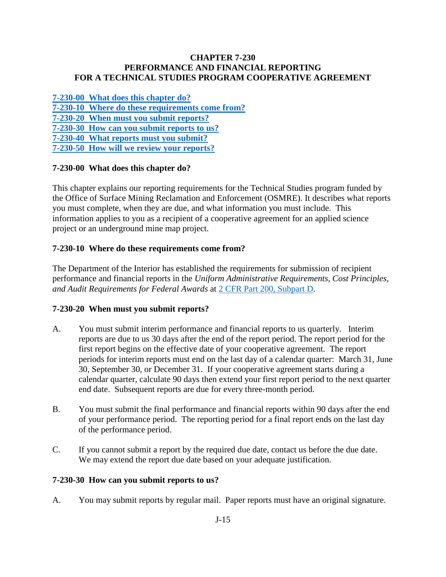## **CHAPTER 7-230 PERFORMANCE AND FINANCIAL REPORTING FOR A TECHNICAL STUDIES PROGRAM COOPERATIVE AGREEMENT**

**[7-230-00 What does this chapter do?](#page-0-0) [7-230-10 Where do these requirements come](#page-0-1) from? [7-230-20 When must you submit reports?](#page-0-2)  7-230-30 How [can you submit reports to us?](#page-0-3)  [7-230-40 What reports must you submit?](#page-1-0) [7-230-50 How will we review your reports?](#page-1-1)** 

# <span id="page-0-0"></span>**7-230-00 What does this chapter do?**

This chapter explains our reporting requirements for the Technical Studies program funded by the Office of Surface Mining Reclamation and Enforcement (OSMRE). It describes what reports you must complete, when they are due, and what information you must include. This information applies to you as a recipient of a cooperative agreement for an applied science project or an underground mine map project.

# <span id="page-0-1"></span>**7-230-10 Where do these requirements come from?**

The Department of the Interior has established the requirements for submission of recipient performance and financial reports in the *Uniform Administrative Requirements, Cost Principles, and Audit Requirements for Federal Awards* at [2 CFR Part 200, Subpart D.](http://www.ecfr.gov/cgi-bin/text-idx?SID=704683b1fd8e579c28d796d8b73e0e79&node=pt2.1.200&rgn=div5)

### <span id="page-0-2"></span>**7-230-20 When must you submit reports?**

- A. You must submit interim performance and financial reports to us quarterly. Interim reports are due to us 30 days after the end of the report period. The report period for the first report begins on the effective date of your cooperative agreement. The report periods for interim reports must end on the last day of a calendar quarter: March 31, June 30, September 30, or December 31. If your cooperative agreement starts during a calendar quarter, calculate 90 days then extend your first report period to the next quarter end date. Subsequent reports are due for every three-month period.
- B. You must submit the final performance and financial reports within 90 days after the end of your performance period. The reporting period for a final report ends on the last day of the performance period.
- C. If you cannot submit a report by the required due date, contact us before the due date. We may extend the report due date based on your adequate justification.

### <span id="page-0-3"></span>**7-230-30 How can you submit reports to us?**

A. You may submit reports by regular mail. Paper reports must have an original signature.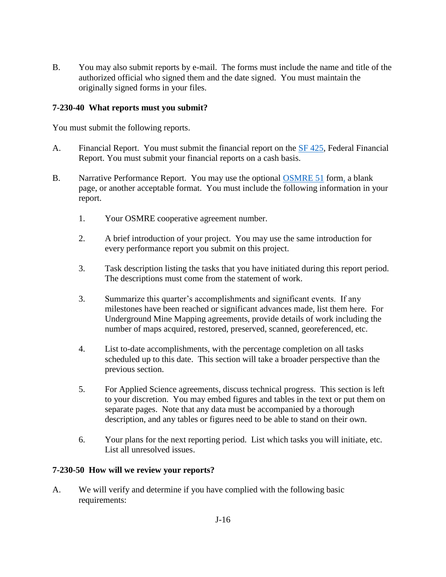B. You may also submit reports by e-mail. The forms must include the name and title of the authorized official who signed them and the date signed. You must maintain the originally signed forms in your files.

# <span id="page-1-0"></span>**7-230-40 What reports must you submit?**

You must submit the following reports.

- A. Financial Report. You must submit the financial report on the [SF 425,](http://www.whitehouse.gov/sites/default/files/omb/grants/approved_forms/SF-425.pdf) Federal Financial Report. You must submit your financial reports on a cash basis.
- B. Narrative Performance Report. You may use the optional [OSMRE 51](http://www.osmre.gov/resources/forms/OSM51.pdf) form, a blank page, or another acceptable format. You must include the following information in your report.
	- 1. Your OSMRE cooperative agreement number.
	- 2. A brief introduction of your project. You may use the same introduction for every performance report you submit on this project.
	- 3. Task description listing the tasks that you have initiated during this report period. The descriptions must come from the statement of work.
	- 3. Summarize this quarter's accomplishments and significant events. If any milestones have been reached or significant advances made, list them here. For Underground Mine Mapping agreements, provide details of work including the number of maps acquired, restored, preserved, scanned, georeferenced, etc.
	- 4. List to-date accomplishments, with the percentage completion on all tasks scheduled up to this date. This section will take a broader perspective than the previous section.
	- 5. For Applied Science agreements, discuss technical progress. This section is left to your discretion. You may embed figures and tables in the text or put them on separate pages. Note that any data must be accompanied by a thorough description, and any tables or figures need to be able to stand on their own.
	- 6. Your plans for the next reporting period. List which tasks you will initiate, etc. List all unresolved issues.

### <span id="page-1-1"></span>**7-230-50 How will we review your reports?**

A. We will verify and determine if you have complied with the following basic requirements: